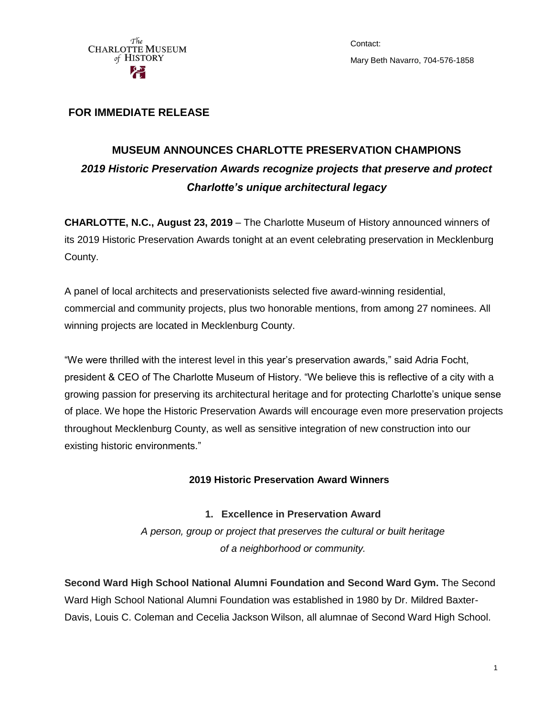

Contact: Mary Beth Navarro, 704-576-1858

# **FOR IMMEDIATE RELEASE**

# **MUSEUM ANNOUNCES CHARLOTTE PRESERVATION CHAMPIONS** *2019 Historic Preservation Awards recognize projects that preserve and protect Charlotte's unique architectural legacy*

**CHARLOTTE, N.C., August 23, 2019** – The Charlotte Museum of History announced winners of its 2019 Historic Preservation Awards tonight at an event celebrating preservation in Mecklenburg County.

A panel of local architects and preservationists selected five award-winning residential, commercial and community projects, plus two honorable mentions, from among 27 nominees. All winning projects are located in Mecklenburg County.

"We were thrilled with the interest level in this year's preservation awards," said Adria Focht, president & CEO of The Charlotte Museum of History. "We believe this is reflective of a city with a growing passion for preserving its architectural heritage and for protecting Charlotte's unique sense of place. We hope the Historic Preservation Awards will encourage even more preservation projects throughout Mecklenburg County, as well as sensitive integration of new construction into our existing historic environments."

## **2019 Historic Preservation Award Winners**

## **1. Excellence in Preservation Award**

*A person, group or project that preserves the cultural or built heritage of a neighborhood or community.*

**Second Ward High School National Alumni Foundation and Second Ward Gym.** The Second Ward High School National Alumni Foundation was established in 1980 by Dr. Mildred Baxter-Davis, Louis C. Coleman and Cecelia Jackson Wilson, all alumnae of Second Ward High School.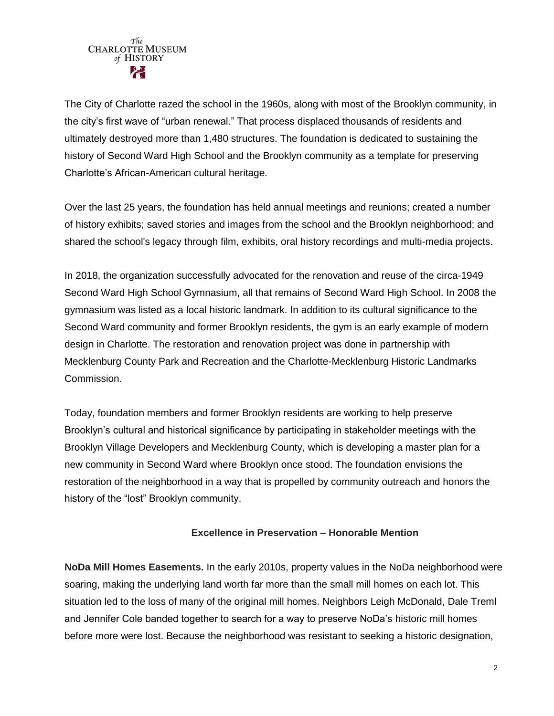

The City of Charlotte razed the school in the 1960s, along with most of the Brooklyn community, in the city's first wave of "urban renewal." That process displaced thousands of residents and ultimately destroyed more than 1,480 structures. The foundation is dedicated to sustaining the history of Second Ward High School and the Brooklyn community as a template for preserving Charlotte's African-American cultural heritage.

Over the last 25 years, the foundation has held annual meetings and reunions; created a number of history exhibits; saved stories and images from the school and the Brooklyn neighborhood; and shared the school's legacy through film, exhibits, oral history recordings and multi-media projects.

In 2018, the organization successfully advocated for the renovation and reuse of the circa-1949 Second Ward High School Gymnasium, all that remains of Second Ward High School. In 2008 the gymnasium was listed as a local historic landmark. In addition to its cultural significance to the Second Ward community and former Brooklyn residents, the gym is an early example of modern design in Charlotte. The restoration and renovation project was done in partnership with Mecklenburg County Park and Recreation and the Charlotte-Mecklenburg Historic Landmarks Commission.

Today, foundation members and former Brooklyn residents are working to help preserve Brooklyn's cultural and historical significance by participating in stakeholder meetings with the Brooklyn Village Developers and Mecklenburg County, which is developing a master plan for a new community in Second Ward where Brooklyn once stood. The foundation envisions the restoration of the neighborhood in a way that is propelled by community outreach and honors the history of the "lost" Brooklyn community.

## **Excellence in Preservation – Honorable Mention**

**NoDa Mill Homes Easements.** In the early 2010s, property values in the NoDa neighborhood were soaring, making the underlying land worth far more than the small mill homes on each lot. This situation led to the loss of many of the original mill homes. Neighbors Leigh McDonald, Dale Treml and Jennifer Cole banded together to search for a way to preserve NoDa's historic mill homes before more were lost. Because the neighborhood was resistant to seeking a historic designation,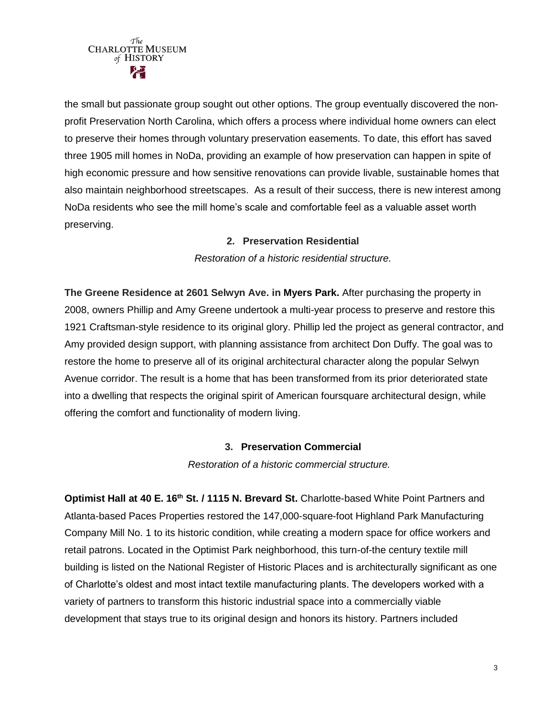

the small but passionate group sought out other options. The group eventually discovered the nonprofit Preservation North Carolina, which offers a process where individual home owners can elect to preserve their homes through voluntary preservation easements. To date, this effort has saved three 1905 mill homes in NoDa, providing an example of how preservation can happen in spite of high economic pressure and how sensitive renovations can provide livable, sustainable homes that also maintain neighborhood streetscapes. As a result of their success, there is new interest among NoDa residents who see the mill home's scale and comfortable feel as a valuable asset worth preserving.

#### **2. Preservation Residential**

*Restoration of a historic residential structure.*

**The Greene Residence at 2601 Selwyn Ave. in Myers Park.** After purchasing the property in 2008, owners Phillip and Amy Greene undertook a multi-year process to preserve and restore this 1921 Craftsman-style residence to its original glory. Phillip led the project as general contractor, and Amy provided design support, with planning assistance from architect Don Duffy. The goal was to restore the home to preserve all of its original architectural character along the popular Selwyn Avenue corridor. The result is a home that has been transformed from its prior deteriorated state into a dwelling that respects the original spirit of American foursquare architectural design, while offering the comfort and functionality of modern living.

#### **3. Preservation Commercial**

*Restoration of a historic commercial structure.*

**Optimist Hall at 40 E. 16th St. / 1115 N. Brevard St.** Charlotte-based White Point Partners and Atlanta-based Paces Properties restored the 147,000-square-foot Highland Park Manufacturing Company Mill No. 1 to its historic condition, while creating a modern space for office workers and retail patrons. Located in the Optimist Park neighborhood, this turn-of-the century textile mill building is listed on the National Register of Historic Places and is architecturally significant as one of Charlotte's oldest and most intact textile manufacturing plants. The developers worked with a variety of partners to transform this historic industrial space into a commercially viable development that stays true to its original design and honors its history. Partners included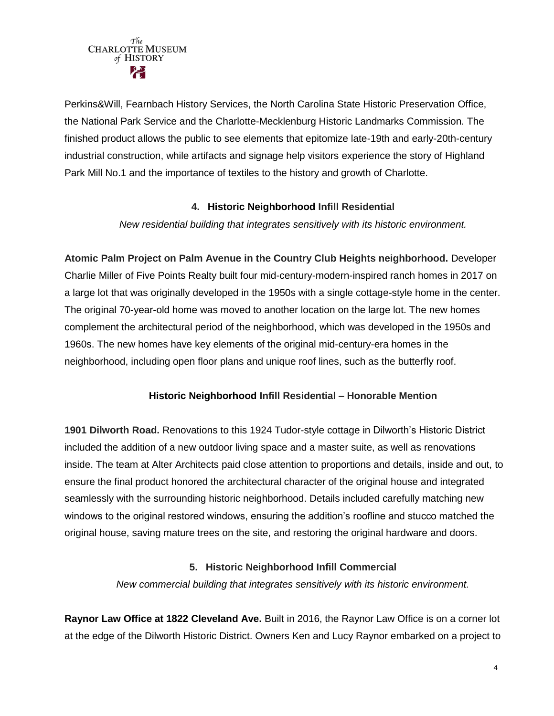

Perkins&Will, Fearnbach History Services, the North Carolina State Historic Preservation Office, the National Park Service and the Charlotte-Mecklenburg Historic Landmarks Commission. The finished product allows the public to see elements that epitomize late-19th and early-20th-century industrial construction, while artifacts and signage help visitors experience the story of Highland Park Mill No.1 and the importance of textiles to the history and growth of Charlotte.

#### **4. Historic Neighborhood Infill Residential**

*New residential building that integrates sensitively with its historic environment.*

**Atomic Palm Project on Palm Avenue in the Country Club Heights neighborhood.** Developer Charlie Miller of Five Points Realty built four mid-century-modern-inspired ranch homes in 2017 on a large lot that was originally developed in the 1950s with a single cottage-style home in the center. The original 70-year-old home was moved to another location on the large lot. The new homes complement the architectural period of the neighborhood, which was developed in the 1950s and 1960s. The new homes have key elements of the original mid-century-era homes in the neighborhood, including open floor plans and unique roof lines, such as the butterfly roof.

## **Historic Neighborhood Infill Residential – Honorable Mention**

**1901 Dilworth Road.** Renovations to this 1924 Tudor-style cottage in Dilworth's Historic District included the addition of a new outdoor living space and a master suite, as well as renovations inside. The team at Alter Architects paid close attention to proportions and details, inside and out, to ensure the final product honored the architectural character of the original house and integrated seamlessly with the surrounding historic neighborhood. Details included carefully matching new windows to the original restored windows, ensuring the addition's roofline and stucco matched the original house, saving mature trees on the site, and restoring the original hardware and doors.

## **5. Historic Neighborhood Infill Commercial**

*New commercial building that integrates sensitively with its historic environment.*

**Raynor Law Office at 1822 Cleveland Ave.** Built in 2016, the Raynor Law Office is on a corner lot at the edge of the Dilworth Historic District. Owners Ken and Lucy Raynor embarked on a project to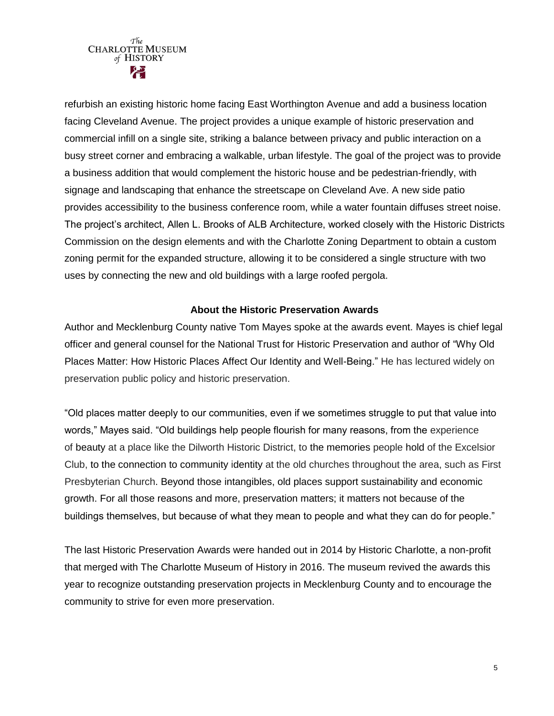

refurbish an existing historic home facing East Worthington Avenue and add a business location facing Cleveland Avenue. The project provides a unique example of historic preservation and commercial infill on a single site, striking a balance between privacy and public interaction on a busy street corner and embracing a walkable, urban lifestyle. The goal of the project was to provide a business addition that would complement the historic house and be pedestrian-friendly, with signage and landscaping that enhance the streetscape on Cleveland Ave. A new side patio provides accessibility to the business conference room, while a water fountain diffuses street noise. The project's architect, Allen L. Brooks of ALB Architecture, worked closely with the Historic Districts Commission on the design elements and with the Charlotte Zoning Department to obtain a custom zoning permit for the expanded structure, allowing it to be considered a single structure with two uses by connecting the new and old buildings with a large roofed pergola.

#### **About the Historic Preservation Awards**

Author and Mecklenburg County native Tom Mayes spoke at the awards event. Mayes is chief legal officer and general counsel for the National Trust for Historic Preservation and author of "Why Old Places Matter: How Historic Places Affect Our Identity and Well-Being." He has lectured widely on preservation public policy and historic preservation.

"Old places matter deeply to our communities, even if we sometimes struggle to put that value into words," Mayes said. "Old buildings help people flourish for many reasons, from the experience of beauty at a place like the Dilworth Historic District, to the memories people hold of the Excelsior Club, to the connection to community identity at the old churches throughout the area, such as First Presbyterian Church. Beyond those intangibles, old places support sustainability and economic growth. For all those reasons and more, preservation matters; it matters not because of the buildings themselves, but because of what they mean to people and what they can do for people."

The last Historic Preservation Awards were handed out in 2014 by Historic Charlotte, a non-profit that merged with The Charlotte Museum of History in 2016. The museum revived the awards this year to recognize outstanding preservation projects in Mecklenburg County and to encourage the community to strive for even more preservation.